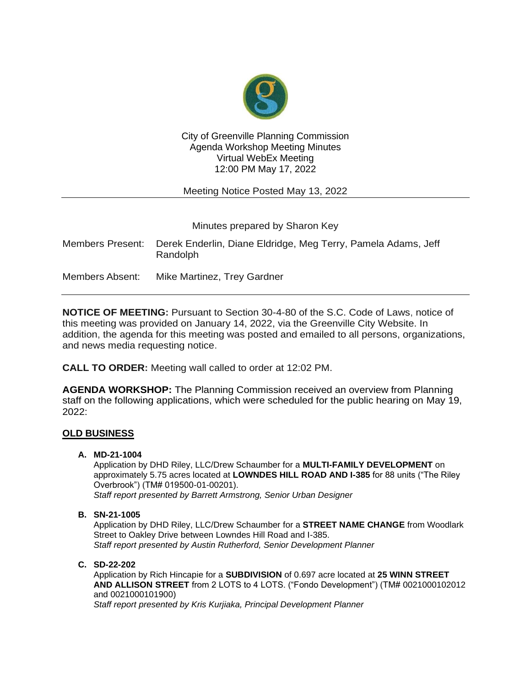

City of Greenville Planning Commission Agenda Workshop Meeting Minutes Virtual WebEx Meeting 12:00 PM May 17, 2022

Meeting Notice Posted May 13, 2022

Minutes prepared by Sharon Key

Members Present: Derek Enderlin, Diane Eldridge, Meg Terry, Pamela Adams, Jeff Randolph Members Absent: Mike Martinez, Trey Gardner

**NOTICE OF MEETING:** Pursuant to Section 30-4-80 of the S.C. Code of Laws, notice of this meeting was provided on January 14, 2022, via the Greenville City Website. In addition, the agenda for this meeting was posted and emailed to all persons, organizations, and news media requesting notice.

**CALL TO ORDER:** Meeting wall called to order at 12:02 PM.

**AGENDA WORKSHOP:** The Planning Commission received an overview from Planning staff on the following applications, which were scheduled for the public hearing on May 19, 2022:

# **OLD BUSINESS**

## **A. MD-21-1004**

Application by DHD Riley, LLC/Drew Schaumber for a **MULTI-FAMILY DEVELOPMENT** on approximately 5.75 acres located at **LOWNDES HILL ROAD AND I-385** for 88 units ("The Riley Overbrook") (TM# 019500-01-00201). *Staff report presented by Barrett Armstrong, Senior Urban Designer*

## **B. SN-21-1005**

Application by DHD Riley, LLC/Drew Schaumber for a **STREET NAME CHANGE** from Woodlark Street to Oakley Drive between Lowndes Hill Road and I-385. *Staff report presented by Austin Rutherford, Senior Development Planner* 

### **C. SD-22-202**

Application by Rich Hincapie for a **SUBDIVISION** of 0.697 acre located at **25 WINN STREET AND ALLISON STREET** from 2 LOTS to 4 LOTS. ("Fondo Development") (TM# 0021000102012 and 0021000101900) *Staff report presented by Kris Kurjiaka, Principal Development Planner*